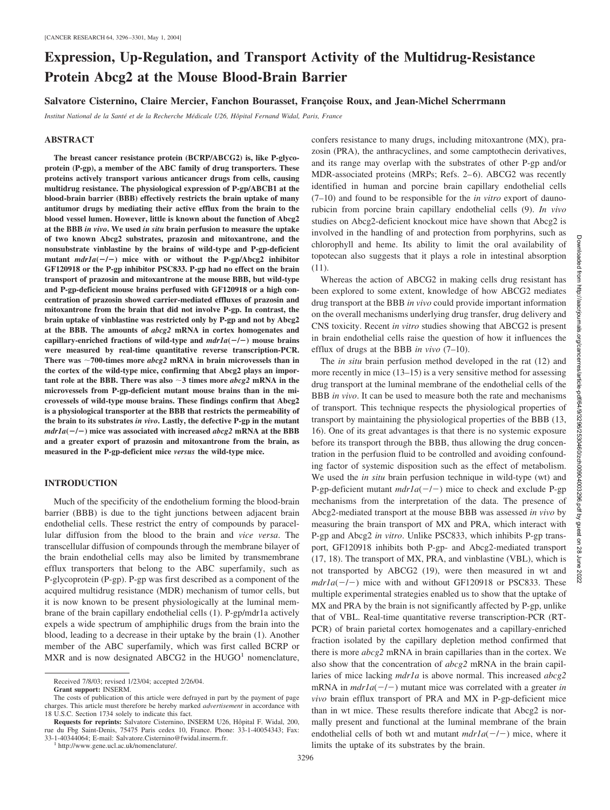# **Expression, Up-Regulation, and Transport Activity of the Multidrug-Resistance Protein Abcg2 at the Mouse Blood-Brain Barrier**

# Salvatore Cisternino, Claire Mercier, Fanchon Bourasset, Francoise Roux, and Jean-Michel Scherrmann

*Institut National de la Sante´ et de la Recherche Me´dicale U26, Hoˆpital Fernand Widal, Paris, France*

#### **ABSTRACT**

**The breast cancer resistance protein (BCRP/ABCG2) is, like P-glycoprotein (P-gp), a member of the ABC family of drug transporters. These proteins actively transport various anticancer drugs from cells, causing multidrug resistance. The physiological expression of P-gp/ABCB1 at the blood-brain barrier (BBB) effectively restricts the brain uptake of many antitumor drugs by mediating their active efflux from the brain to the blood vessel lumen. However, little is known about the function of Abcg2 at the BBB** *in vivo***. We used** *in situ* **brain perfusion to measure the uptake of two known Abcg2 substrates, prazosin and mitoxantrone, and the nonsubstrate vinblastine by the brains of wild-type and P-gp-deficient** mutant  $mdr1a(-/-)$  mice with or without the P-gp/Abcg2 inhibitor **GF120918 or the P-gp inhibitor PSC833. P-gp had no effect on the brain transport of prazosin and mitoxantrone at the mouse BBB, but wild-type and P-gp-deficient mouse brains perfused with GF120918 or a high concentration of prazosin showed carrier-mediated effluxes of prazosin and mitoxantrone from the brain that did not involve P-gp. In contrast, the brain uptake of vinblastine was restricted only by P-gp and not by Abcg2 at the BBB. The amounts of** *abcg2* **mRNA in cortex homogenates and** capillary-enriched fractions of wild-type and  $mdr1a(-/-)$  mouse brains **were measured by real-time quantitative reverse transcription-PCR. There was 700-times more** *abcg2* **mRNA in brain microvessels than in the cortex of the wild-type mice, confirming that Abcg2 plays an impor**tant role at the BBB. There was also  $\sim$ 3 times more *abcg2* mRNA in the **microvessels from P-gp-deficient mutant mouse brains than in the microvessels of wild-type mouse brains. These findings confirm that Abcg2 is a physiological transporter at the BBB that restricts the permeability of the brain to its substrates** *in vivo***. Lastly, the defective P-gp in the mutant**  $mdr1a(-/-)$  mice was associated with increased  $abcg2$  mRNA at the BBB **and a greater export of prazosin and mitoxantrone from the brain, as measured in the P-gp-deficient mice** *versus* **the wild-type mice.**

# **INTRODUCTION**

Much of the specificity of the endothelium forming the blood-brain barrier (BBB) is due to the tight junctions between adjacent brain endothelial cells. These restrict the entry of compounds by paracellular diffusion from the blood to the brain and *vice versa*. The transcellular diffusion of compounds through the membrane bilayer of the brain endothelial cells may also be limited by transmembrane efflux transporters that belong to the ABC superfamily, such as P-glycoprotein (P-gp). P-gp was first described as a component of the acquired multidrug resistance (MDR) mechanism of tumor cells, but it is now known to be present physiologically at the luminal membrane of the brain capillary endothelial cells (1). P-gp/mdr1a actively expels a wide spectrum of amphiphilic drugs from the brain into the blood, leading to a decrease in their uptake by the brain (1). Another member of the ABC superfamily, which was first called BCRP or MXR and is now designated ABCG2 in the  $HUGO<sup>1</sup>$  nomenclature, confers resistance to many drugs, including mitoxantrone (MX), prazosin (PRA), the anthracyclines, and some camptothecin derivatives, and its range may overlap with the substrates of other P-gp and/or MDR-associated proteins (MRPs; Refs. 2–6). ABCG2 was recently identified in human and porcine brain capillary endothelial cells (7–10) and found to be responsible for the *in vitro* export of daunorubicin from porcine brain capillary endothelial cells (9). *In vivo* studies on Abcg2-deficient knockout mice have shown that Abcg2 is involved in the handling of and protection from porphyrins, such as chlorophyll and heme. Its ability to limit the oral availability of topotecan also suggests that it plays a role in intestinal absorption (11).

Whereas the action of ABCG2 in making cells drug resistant has been explored to some extent, knowledge of how ABCG2 mediates drug transport at the BBB *in vivo* could provide important information on the overall mechanisms underlying drug transfer, drug delivery and CNS toxicity. Recent *in vitro* studies showing that ABCG2 is present in brain endothelial cells raise the question of how it influences the efflux of drugs at the BBB *in vivo* (7–10).

The *in situ* brain perfusion method developed in the rat (12) and more recently in mice (13–15) is a very sensitive method for assessing drug transport at the luminal membrane of the endothelial cells of the BBB *in vivo*. It can be used to measure both the rate and mechanisms of transport. This technique respects the physiological properties of transport by maintaining the physiological properties of the BBB (13, 16). One of its great advantages is that there is no systemic exposure before its transport through the BBB, thus allowing the drug concentration in the perfusion fluid to be controlled and avoiding confounding factor of systemic disposition such as the effect of metabolism. We used the *in situ* brain perfusion technique in wild-type (wt) and P-gp-deficient mutant  $mdr1a(-/-)$  mice to check and exclude P-gp mechanisms from the interpretation of the data. The presence of Abcg2-mediated transport at the mouse BBB was assessed *in vivo* by measuring the brain transport of MX and PRA, which interact with P-gp and Abcg2 *in vitro*. Unlike PSC833, which inhibits P-gp transport, GF120918 inhibits both P-gp- and Abcg2-mediated transport (17, 18). The transport of MX, PRA, and vinblastine (VBL), which is not transported by ABCG2 (19), were then measured in wt and  $mdr1a(-/-)$  mice with and without GF120918 or PSC833. These multiple experimental strategies enabled us to show that the uptake of MX and PRA by the brain is not significantly affected by P-gp, unlike that of VBL. Real-time quantitative reverse transcription-PCR (RT-PCR) of brain parietal cortex homogenates and a capillary-enriched fraction isolated by the capillary depletion method confirmed that there is more *abcg2* mRNA in brain capillaries than in the cortex. We also show that the concentration of *abcg2* mRNA in the brain capillaries of mice lacking *mdr1a* is above normal. This increased *abcg2*  $mRNA$  in  $mdr1a(-/-)$  mutant mice was correlated with a greater *in vivo* brain efflux transport of PRA and MX in P-gp-deficient mice than in wt mice. These results therefore indicate that Abcg2 is normally present and functional at the luminal membrane of the brain endothelial cells of both wt and mutant  $mdr1a(-/-)$  mice, where it limits the uptake of its substrates by the brain.

Received 7/8/03; revised 1/23/04; accepted 2/26/04.

**Grant support:** INSERM.

The costs of publication of this article were defrayed in part by the payment of page charges. This article must therefore be hereby marked *advertisement* in accordance with 18 U.S.C. Section 1734 solely to indicate this fact.

Requests for reprints: Salvatore Cisternino, INSERM U26, Hôpital F. Widal, 200, rue du Fbg Saint-Denis, 75475 Paris cedex 10, France. Phone: 33-1-40054343; Fax: 33-1-40344064; E-mail: Salvatore.Cisternino@fwidal.inserm.fr.<br> $1 \text{ http://www.gene.ucl.ac.uk/nomenclature/}.$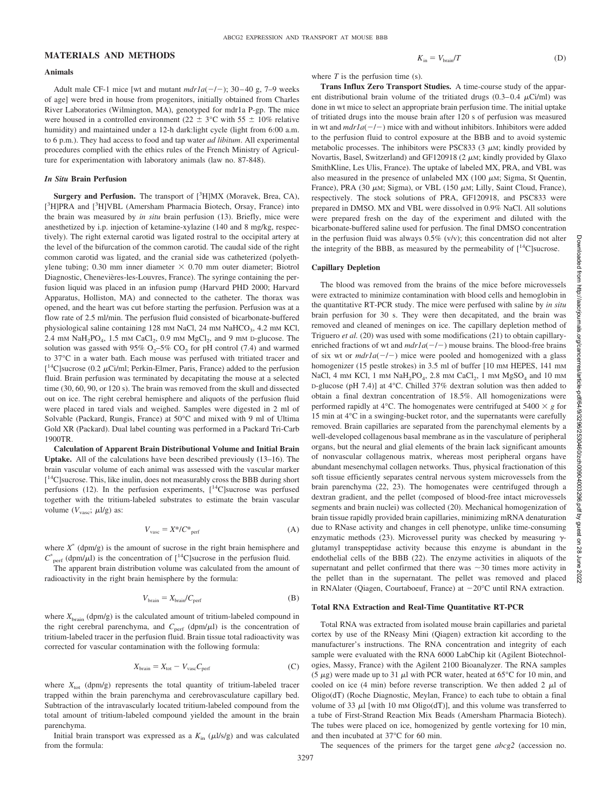# **MATERIALS AND METHODS**

#### **Animals**

Adult male CF-1 mice [wt and mutant  $mdr1a(-/-)$ ; 30-40 g, 7-9 weeks of age] were bred in house from progenitors, initially obtained from Charles River Laboratories (Wilmington, MA), genotyped for mdr1a P-gp. The mice were housed in a controlled environment (22  $\pm$  3°C with 55  $\pm$  10% relative humidity) and maintained under a 12-h dark:light cycle (light from 6:00 a.m. to 6 p.m.). They had access to food and tap water *ad libitum*. All experimental procedures complied with the ethics rules of the French Ministry of Agriculture for experimentation with laboratory animals (law no. 87-848).

#### *In Situ* **Brain Perfusion**

Surgery and Perfusion. The transport of [<sup>3</sup>H]MX (Moravek, Brea, CA), [<sup>3</sup>H]PRA and [<sup>3</sup>H]VBL (Amersham Pharmacia Biotech, Orsay, France) into the brain was measured by *in situ* brain perfusion (13). Briefly, mice were anesthetized by i.p. injection of ketamine-xylazine (140 and 8 mg/kg, respectively). The right external carotid was ligated rostral to the occipital artery at the level of the bifurcation of the common carotid. The caudal side of the right common carotid was ligated, and the cranial side was catheterized (polyethylene tubing; 0.30 mm inner diameter  $\times$  0.70 mm outer diameter; Biotrol Diagnostic, Chenevières-les-Louvres, France). The syringe containing the perfusion liquid was placed in an infusion pump (Harvard PHD 2000; Harvard Apparatus, Holliston, MA) and connected to the catheter. The thorax was opened, and the heart was cut before starting the perfusion. Perfusion was at a flow rate of 2.5 ml/min. The perfusion fluid consisted of bicarbonate-buffered physiological saline containing 128 mm NaCl, 24 mm NaHCO<sub>3</sub>, 4.2 mm KCl, 2.4 mM  $NaH_2PO_4$ , 1.5 mM  $CaCl_2$ , 0.9 mM  $MgCl_2$ , and 9 mM D-glucose. The solution was gassed with 95%  $O_2$ –5%  $CO_2$  for pH control (7.4) and warmed to 37°C in a water bath. Each mouse was perfused with tritiated tracer and [ $^{14}$ C]sucrose (0.2  $\mu$ Ci/ml; Perkin-Elmer, Paris, France) added to the perfusion fluid. Brain perfusion was terminated by decapitating the mouse at a selected time (30, 60, 90, or 120 s). The brain was removed from the skull and dissected out on ice. The right cerebral hemisphere and aliquots of the perfusion fluid were placed in tared vials and weighed. Samples were digested in 2 ml of Solvable (Packard, Rungis, France) at 50°C and mixed with 9 ml of Ultima Gold XR (Packard). Dual label counting was performed in a Packard Tri-Carb 1900TR.

**Calculation of Apparent Brain Distributional Volume and Initial Brain Uptake.** All of the calculations have been described previously (13–16). The brain vascular volume of each animal was assessed with the vascular marker [<sup>14</sup>C] sucrose. This, like inulin, does not measurably cross the BBB during short perfusions (12). In the perfusion experiments,  $[14C]$ sucrose was perfused together with the tritium-labeled substrates to estimate the brain vascular volume  $(V_{\text{vasc}}; \mu l/g)$  as:

$$
V_{\text{vasc}} = X^*/C^*_{\text{perf}} \tag{A}
$$

where  $X^*$  (dpm/g) is the amount of sucrose in the right brain hemisphere and  $C^*_{\text{perf}}$  (dpm/ $\mu$ l) is the concentration of [<sup>14</sup>C]sucrose in the perfusion fluid.

The apparent brain distribution volume was calculated from the amount of radioactivity in the right brain hemisphere by the formula:

$$
V_{\text{brain}} = X_{\text{brain}} / C_{\text{perf}} \tag{B}
$$

where  $X_{\text{brain}}$  (dpm/g) is the calculated amount of tritium-labeled compound in the right cerebral parenchyma, and C<sub>perf</sub> (dpm/ $\mu$ l) is the concentration of tritium-labeled tracer in the perfusion fluid. Brain tissue total radioactivity was corrected for vascular contamination with the following formula:

$$
X_{\text{brain}} = X_{\text{tot}} - V_{\text{vasc}} C_{\text{perf}} \tag{C}
$$

where  $X_{\text{tot}}$  (dpm/g) represents the total quantity of tritium-labeled tracer trapped within the brain parenchyma and cerebrovasculature capillary bed. Subtraction of the intravascularly located tritium-labeled compound from the total amount of tritium-labeled compound yielded the amount in the brain parenchyma.

Initial brain transport was expressed as a  $K_{\text{in}}$  ( $\mu$ l/s/g) and was calculated from the formula:

 $K_{\text{in}} = V_{\text{brain}}/T$  (D)

where *T* is the perfusion time (s).

**Trans Influx Zero Transport Studies.** A time-course study of the apparent distributional brain volume of the tritiated drugs  $(0.3-0.4 \mu\text{Ci/ml})$  was done in wt mice to select an appropriate brain perfusion time. The initial uptake of tritiated drugs into the mouse brain after 120 s of perfusion was measured in wt and  $mdr1a(-/-)$  mice with and without inhibitors. Inhibitors were added to the perfusion fluid to control exposure at the BBB and to avoid systemic metabolic processes. The inhibitors were PSC833  $(3 \mu M;$  kindly provided by Novartis, Basel, Switzerland) and GF120918 (2  $\mu$ M; kindly provided by Glaxo SmithKline, Les Ulis, France). The uptake of labeled MX, PRA, and VBL was also measured in the presence of unlabeled MX (100  $\mu$ M; Sigma, St Quentin, France), PRA (30  $\mu$ M; Sigma), or VBL (150  $\mu$ M; Lilly, Saint Cloud, France), respectively. The stock solutions of PRA, GF120918, and PSC833 were prepared in DMSO. MX and VBL were dissolved in 0.9% NaCl. All solutions were prepared fresh on the day of the experiment and diluted with the bicarbonate-buffered saline used for perfusion. The final DMSO concentration in the perfusion fluid was always  $0.5\%$  (v/v); this concentration did not alter the integrity of the BBB, as measured by the permeability of  $[^{14}C]$ sucrose.

## **Capillary Depletion**

The blood was removed from the brains of the mice before microvessels were extracted to minimize contamination with blood cells and hemoglobin in the quantitative RT-PCR study. The mice were perfused with saline by *in situ* brain perfusion for 30 s. They were then decapitated, and the brain was removed and cleaned of meninges on ice. The capillary depletion method of Triguero *et al.* (20) was used with some modifications (21) to obtain capillaryenriched fractions of wt and  $mdr1a(-/-)$  mouse brains. The blood-free brains of six wt or  $mdr1a(-/-)$  mice were pooled and homogenized with a glass homogenizer (15 pestle strokes) in 3.5 ml of buffer [10 mm HEPES, 141 mm NaCl, 4 mM KCl, 1 mM NaH<sub>2</sub>PO<sub>4</sub>, 2.8 mM CaCl<sub>2</sub>, 1 mM  $MgSO<sub>4</sub>$  and 10 mM D-glucose (pH 7.4)] at 4°C. Chilled 37% dextran solution was then added to obtain a final dextran concentration of 18.5%. All homogenizations were performed rapidly at 4 $\degree$ C. The homogenates were centrifuged at 5400  $\times$  g for 15 min at 4°C in a swinging-bucket rotor, and the supernatants were carefully removed. Brain capillaries are separated from the parenchymal elements by a well-developed collagenous basal membrane as in the vasculature of peripheral organs, but the neural and glial elements of the brain lack significant amounts of nonvascular collagenous matrix, whereas most peripheral organs have abundant mesenchymal collagen networks. Thus, physical fractionation of this soft tissue efficiently separates central nervous system microvessels from the brain parenchyma (22, 23). The homogenates were centrifuged through a dextran gradient, and the pellet (composed of blood-free intact microvessels segments and brain nuclei) was collected (20). Mechanical homogenization of brain tissue rapidly provided brain capillaries, minimizing mRNA denaturation due to RNase activity and changes in cell phenotype, unlike time-consuming enzymatic methods (23). Microvessel purity was checked by measuring  $\gamma$ glutamyl transpeptidase activity because this enzyme is abundant in the endothelial cells of the BBB (22). The enzyme activities in aliquots of the supernatant and pellet confirmed that there was  $\sim$ 30 times more activity in the pellet than in the supernatant. The pellet was removed and placed in RNAlater (Qiagen, Courtaboeuf, France) at  $-20^{\circ}$ C until RNA extraction.

## **Total RNA Extraction and Real-Time Quantitative RT-PCR**

Total RNA was extracted from isolated mouse brain capillaries and parietal cortex by use of the RNeasy Mini (Qiagen) extraction kit according to the manufacturer's instructions. The RNA concentration and integrity of each sample were evaluated with the RNA 6000 LabChip kit (Agilent Biotechnologies, Massy, France) with the Agilent 2100 Bioanalyzer. The RNA samples (5  $\mu$ g) were made up to 31  $\mu$ l with PCR water, heated at 65°C for 10 min, and cooled on ice (4 min) before reverse transcription. We then added 2  $\mu$ l of Oligo(dT) (Roche Diagnostic, Meylan, France) to each tube to obtain a final volume of 33  $\mu$ I [with 10 mm Oligo(dT)], and this volume was transferred to a tube of First-Strand Reaction Mix Beads (Amersham Pharmacia Biotech). The tubes were placed on ice, homogenized by gentle vortexing for 10 min, and then incubated at 37°C for 60 min.

The sequences of the primers for the target gene *abcg2* (accession no.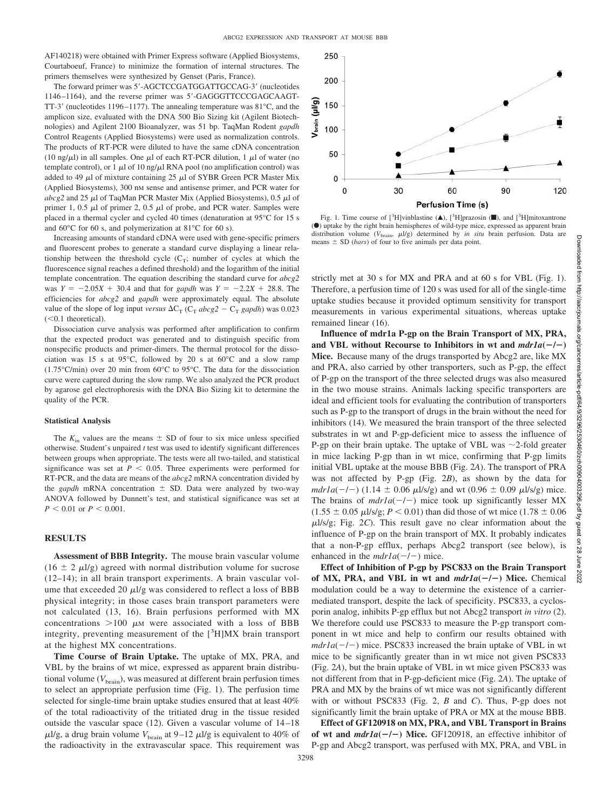AF140218) were obtained with Primer Express software (Applied Biosystems, Courtaboeuf, France) to minimize the formation of internal structures. The primers themselves were synthesized by Genset (Paris, France).

The forward primer was 5'-AGCTCCGATGGATTGCCAG-3' (nucleotides 1146-1164), and the reverse primer was 5'-GAGGGTTCCCGAGCAAGT-TT-3' (nucleotides 1196-1177). The annealing temperature was  $81^{\circ}$ C, and the amplicon size, evaluated with the DNA 500 Bio Sizing kit (Agilent Biotechnologies) and Agilent 2100 Bioanalyzer, was 51 bp. TaqMan Rodent *gapdh* Control Reagents (Applied Biosystems) were used as normalization controls. The products of RT-PCR were diluted to have the same cDNA concentration (10 ng/ $\mu$ l) in all samples. One  $\mu$ l of each RT-PCR dilution, 1  $\mu$ l of water (no template control), or 1  $\mu$ l of 10 ng/ $\mu$ l RNA pool (no amplification control) was added to 49  $\mu$ l of mixture containing 25  $\mu$ l of SYBR Green PCR Master Mix (Applied Biosystems), 300 nM sense and antisense primer, and PCR water for  $abcg2$  and 25  $\mu$ l of TaqMan PCR Master Mix (Applied Biosystems), 0.5  $\mu$ l of primer 1, 0.5  $\mu$ l of primer 2, 0.5  $\mu$ l of probe, and PCR water. Samples were placed in a thermal cycler and cycled 40 times (denaturation at 95°C for 15 s and 60°C for 60 s, and polymerization at 81°C for 60 s).

Increasing amounts of standard cDNA were used with gene-specific primers and fluorescent probes to generate a standard curve displaying a linear relationship between the threshold cycle  $(C_T;$  number of cycles at which the fluorescence signal reaches a defined threshold) and the logarithm of the initial template concentration. The equation describing the standard curve for *abcg2* was  $Y = -2.05X + 30.4$  and that for *gapdh* was  $Y = -2.2X + 28.8$ . The efficiencies for *abcg2* and *gapdh* were approximately equal. The absolute value of the slope of log input *versus*  $\Delta C_T$  ( $C_T$  *abcg*2 –  $C_T$  *gapdh*) was 0.023  $(<0.1$  theoretical).

Dissociation curve analysis was performed after amplification to confirm that the expected product was generated and to distinguish specific from nonspecific products and primer-dimers. The thermal protocol for the dissociation was 15 s at 95°C, followed by 20 s at 60°C and a slow ramp (1.75°C/min) over 20 min from 60°C to 95°C. The data for the dissociation curve were captured during the slow ramp. We also analyzed the PCR product by agarose gel electrophoresis with the DNA Bio Sizing kit to determine the quality of the PCR.

#### **Statistical Analysis**

The  $K_{\text{in}}$  values are the means  $\pm$  SD of four to six mice unless specified otherwise. Student's unpaired *t* test was used to identify significant differences between groups when appropriate. The tests were all two-tailed, and statistical significance was set at  $P < 0.05$ . Three experiments were performed for RT-PCR, and the data are means of the *abcg2* mRNA concentration divided by the *gapdh* mRNA concentration  $\pm$  SD. Data were analyzed by two-way ANOVA followed by Dunnett's test, and statistical significance was set at  $P < 0.01$  or  $P < 0.001$ .

# **RESULTS**

**Assessment of BBB Integrity.** The mouse brain vascular volume (16  $\pm$  2  $\mu$ l/g) agreed with normal distribution volume for sucrose (12–14); in all brain transport experiments. A brain vascular volume that exceeded 20  $\mu$ l/g was considered to reflect a loss of BBB physical integrity; in those cases brain transport parameters were not calculated (13, 16). Brain perfusions performed with MX concentrations  $>100 \mu$ M were associated with a loss of BBB integrity, preventing measurement of the  $[{}^{3}H]$ MX brain transport at the highest MX concentrations.

**Time Course of Brain Uptake.** The uptake of MX, PRA, and VBL by the brains of wt mice, expressed as apparent brain distributional volume  $(V_{\text{brain}})$ , was measured at different brain perfusion times to select an appropriate perfusion time (Fig. 1). The perfusion time selected for single-time brain uptake studies ensured that at least 40% of the total radioactivity of the tritiated drug in the tissue resided outside the vascular space (12). Given a vascular volume of 14 –18  $\mu$ l/g, a drug brain volume  $V_{\text{brain}}$  at 9–12  $\mu$ l/g is equivalent to 40% of the radioactivity in the extravascular space. This requirement was



Fig. 1. Time course of  $[^{3}H]$ vinblastine (A),  $[^{3}H]$ prazosin ( $\blacksquare$ ), and  $[^{3}H]$ mitoxantrone (F) uptake by the right brain hemispheres of wild-type mice, expressed as apparent brain distribution volume  $(V_{\text{brain}}, \mu l/g)$  determined by *in situ* brain perfusion. Data are means  $\pm$  SD (*bars*) of four to five animals per data point.

strictly met at 30 s for MX and PRA and at 60 s for VBL (Fig. 1). Therefore, a perfusion time of 120 s was used for all of the single-time uptake studies because it provided optimum sensitivity for transport measurements in various experimental situations, whereas uptake remained linear (16).

**Influence of mdr1a P-gp on the Brain Transport of MX, PRA,** and VBL without Recourse to Inhibitors in wt and  $mdr1a(-/-)$ **Mice.** Because many of the drugs transported by Abcg2 are, like MX and PRA, also carried by other transporters, such as P-gp, the effect of P-gp on the transport of the three selected drugs was also measured in the two mouse strains. Animals lacking specific transporters are ideal and efficient tools for evaluating the contribution of transporters such as P-gp to the transport of drugs in the brain without the need for inhibitors (14). We measured the brain transport of the three selected substrates in wt and P-gp-deficient mice to assess the influence of P-gp on their brain uptake. The uptake of VBL was  $\sim$ 2-fold greater in mice lacking P-gp than in wt mice, confirming that P-gp limits initial VBL uptake at the mouse BBB (Fig. 2*A*). The transport of PRA was not affected by P-gp (Fig. 2*B*), as shown by the data for  $mdr1a(-/-)$  (1.14  $\pm$  0.06  $\mu$ 1/s/g) and wt (0.96  $\pm$  0.09  $\mu$ 1/s/g) mice. The brains of  $mdr1a(-/-)$  mice took up significantly lesser MX  $(1.55 \pm 0.05 \,\mu\text{J/s/g}; P \leq 0.01)$  than did those of wt mice  $(1.78 \pm 0.06 \,\mu\text{J/s/g})$  $\mu$ l/s/g; Fig. 2*C*). This result gave no clear information about the influence of P-gp on the brain transport of MX. It probably indicates that a non-P-gp efflux, perhaps Abcg2 transport (see below), is enhanced in the  $mdr1a(-/-)$  mice.

**Effect of Inhibition of P-gp by PSC833 on the Brain Transport** of MX, PRA, and VBL in wt and  $mdr1a(-/-)$  Mice. Chemical modulation could be a way to determine the existence of a carriermediated transport, despite the lack of specificity. PSC833, a cyclosporin analog, inhibits P-gp efflux but not Abcg2 transport *in vitro* (2). We therefore could use PSC833 to measure the P-gp transport component in wt mice and help to confirm our results obtained with  $mdr1a(-/-)$  mice. PSC833 increased the brain uptake of VBL in wt mice to be significantly greater than in wt mice not given PSC833 (Fig. 2*A*), but the brain uptake of VBL in wt mice given PSC833 was not different from that in P-gp-deficient mice (Fig. 2*A*). The uptake of PRA and MX by the brains of wt mice was not significantly different with or without PSC833 (Fig. 2, *B* and *C*). Thus, P-gp does not significantly limit the brain uptake of PRA or MX at the mouse BBB.

**Effect of GF120918 on MX, PRA, and VBL Transport in Brains of wt and**  $mdr1a(-/-)$  Mice. GF120918, an effective inhibitor of P-gp and Abcg2 transport, was perfused with MX, PRA, and VBL in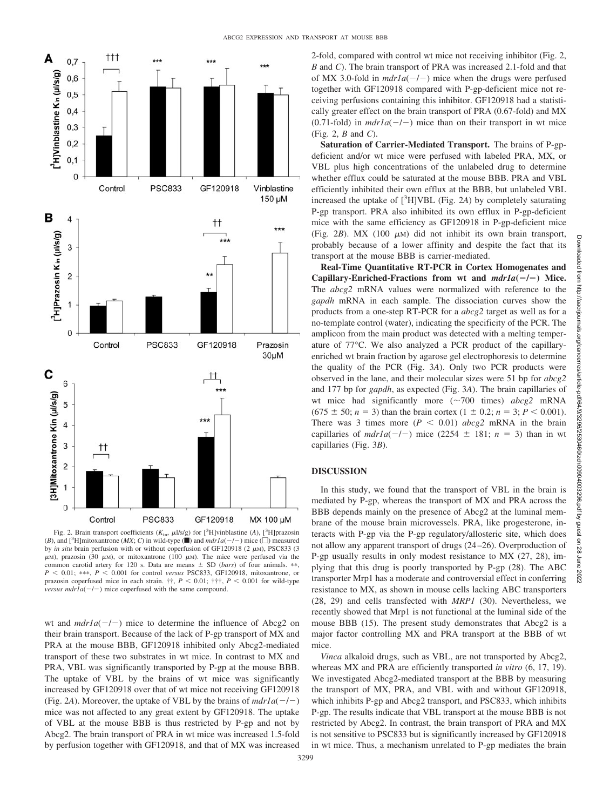

Fig. 2. Brain transport coefficients  $(K_{\text{in}}, \mu\text{1/s/g})$  for [<sup>3</sup>H]vinblastine (*A*), [<sup>3</sup>H]prazosin (*B*), and  $[^3H]$ mitoxantrone (*MX*; *C*) in wild-type ( $\blacksquare$ ) and  $mdr1a(-/-)$  mice ( $\Box$ ) measured by *in situ* brain perfusion with or without coperfusion of GF120918 (2  $\mu$ M), PSC833 (3  $\mu$ M), prazosin (30  $\mu$ M), or mitoxantrone (100  $\mu$ M). The mice were perfused via the common carotid artery for 120 s. Data are means  $\pm$  SD (*bars*) of four animals. \*\*,  $P < 0.01$ ; \*\*\*,  $P < 0.001$  for control *versus* PSC833, GF120918, mitoxantrone, or prazosin coperfused mice in each strain.  $\dagger \dagger$ ,  $P < 0.01$ ;  $\dagger \dagger \dagger$ ,  $P < 0.001$  for wild-type *versus mdr1a* $(-/-)$  mice coperfused with the same compound.

wt and  $mdr1a(-/-)$  mice to determine the influence of Abcg2 on their brain transport. Because of the lack of P-gp transport of MX and PRA at the mouse BBB, GF120918 inhibited only Abcg2-mediated transport of these two substrates in wt mice. In contrast to MX and PRA, VBL was significantly transported by P-gp at the mouse BBB. The uptake of VBL by the brains of wt mice was significantly increased by GF120918 over that of wt mice not receiving GF120918 (Fig. 2A). Moreover, the uptake of VBL by the brains of  $mdr1a(-/-)$ mice was not affected to any great extent by GF120918. The uptake of VBL at the mouse BBB is thus restricted by P-gp and not by Abcg2. The brain transport of PRA in wt mice was increased 1.5-fold by perfusion together with GF120918, and that of MX was increased 2-fold, compared with control wt mice not receiving inhibitor (Fig. 2, *B* and *C*). The brain transport of PRA was increased 2.1-fold and that of MX 3.0-fold in  $mdr1a(-/-)$  mice when the drugs were perfused together with GF120918 compared with P-gp-deficient mice not receiving perfusions containing this inhibitor. GF120918 had a statistically greater effect on the brain transport of PRA (0.67-fold) and MX  $(0.71-fold)$  in  $mdr1a(-/-)$  mice than on their transport in wt mice (Fig. 2, *B* and *C*).

**Saturation of Carrier-Mediated Transport.** The brains of P-gpdeficient and/or wt mice were perfused with labeled PRA, MX, or VBL plus high concentrations of the unlabeled drug to determine whether efflux could be saturated at the mouse BBB. PRA and VBL efficiently inhibited their own efflux at the BBB, but unlabeled VBL increased the uptake of [3 H]VBL (Fig. 2*A*) by completely saturating P-gp transport. PRA also inhibited its own efflux in P-gp-deficient mice with the same efficiency as GF120918 in P-gp-deficient mice (Fig. 2*B*). MX (100  $\mu$ M) did not inhibit its own brain transport, probably because of a lower affinity and despite the fact that its transport at the mouse BBB is carrier-mediated.

**Real-Time Quantitative RT-PCR in Cortex Homogenates and Capillary-Enriched-Fractions from wt and** *mdr1a***(/) Mice.** The *abcg2* mRNA values were normalized with reference to the *gapdh* mRNA in each sample. The dissociation curves show the products from a one-step RT-PCR for a *abcg2* target as well as for a no-template control (water), indicating the specificity of the PCR. The amplicon from the main product was detected with a melting temperature of 77°C. We also analyzed a PCR product of the capillaryenriched wt brain fraction by agarose gel electrophoresis to determine the quality of the PCR (Fig. 3*A*). Only two PCR products were observed in the lane, and their molecular sizes were 51 bp for *abcg2* and 177 bp for *gapdh*, as expected (Fig. 3*A*). The brain capillaries of wt mice had significantly more  $(\sim 700$  times)  $abcg2$  mRNA  $(675 \pm 50; n = 3)$  than the brain cortex  $(1 \pm 0.2; n = 3; P < 0.001)$ . There was 3 times more  $(P \le 0.01)$  *abcg2* mRNA in the brain capillaries of  $mdr1a(-/-)$  mice (2254  $\pm$  181;  $n = 3$ ) than in wt capillaries (Fig. 3*B*).

# **DISCUSSION**

In this study, we found that the transport of VBL in the brain is mediated by P-gp, whereas the transport of MX and PRA across the BBB depends mainly on the presence of Abcg2 at the luminal membrane of the mouse brain microvessels. PRA, like progesterone, interacts with P-gp via the P-gp regulatory/allosteric site, which does not allow any apparent transport of drugs (24 –26). Overproduction of P-gp usually results in only modest resistance to MX (27, 28), implying that this drug is poorly transported by P-gp (28). The ABC transporter Mrp1 has a moderate and controversial effect in conferring resistance to MX, as shown in mouse cells lacking ABC transporters (28, 29) and cells transfected with *MRP1* (30). Nevertheless, we recently showed that Mrp1 is not functional at the luminal side of the mouse BBB (15). The present study demonstrates that Abcg2 is a major factor controlling MX and PRA transport at the BBB of wt mice.

*Vinca* alkaloid drugs, such as VBL, are not transported by Abcg2, whereas MX and PRA are efficiently transported *in vitro* (6, 17, 19). We investigated Abcg2-mediated transport at the BBB by measuring the transport of MX, PRA, and VBL with and without GF120918, which inhibits P-gp and Abcg2 transport, and PSC833, which inhibits P-gp. The results indicate that VBL transport at the mouse BBB is not restricted by Abcg2. In contrast, the brain transport of PRA and MX is not sensitive to PSC833 but is significantly increased by GF120918 in wt mice. Thus, a mechanism unrelated to P-gp mediates the brain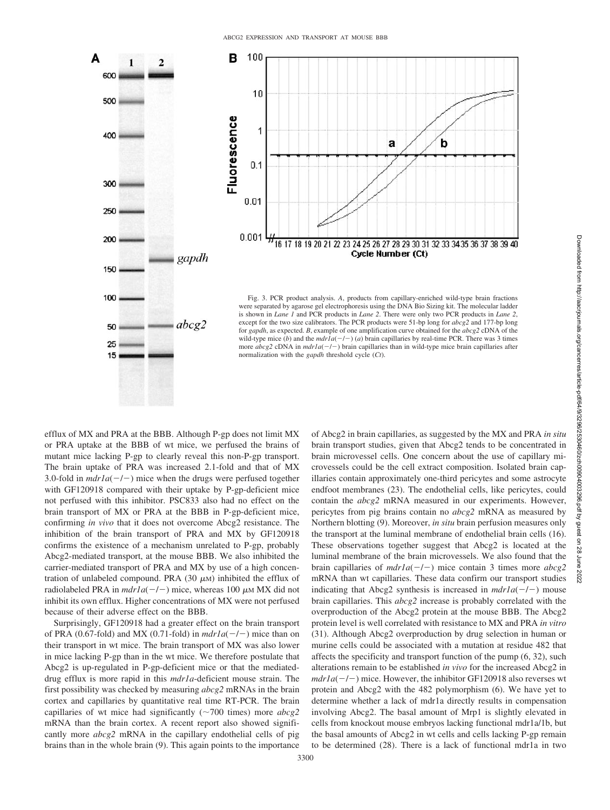



Fig. 3. PCR product analysis. *A*, products from capillary-enriched wild-type brain fractions were separated by agarose gel electrophoresis using the DNA Bio Sizing kit. The molecular ladder is shown in *Lane 1* and PCR products in *Lane 2*. There were only two PCR products in *Lane 2*, except for the two size calibrators. The PCR products were 51-bp long for *abcg2* and 177-bp long for *gapdh*, as expected. *B*, example of one amplification curve obtained for the *abcg2* cDNA of the wild-type mice (b) and the  $mdr1a(-/-)$  (a) brain capillaries by real-time PCR. There was 3 times more  $abcg2$  cDNA in  $mdr1a(-/-)$  brain capillaries than in wild-type mice brain capillaries after normalization with the *gapdh* threshold cycle (*Ct*).

efflux of MX and PRA at the BBB. Although P-gp does not limit MX or PRA uptake at the BBB of wt mice, we perfused the brains of mutant mice lacking P-gp to clearly reveal this non-P-gp transport. The brain uptake of PRA was increased 2.1-fold and that of MX 3.0-fold in  $mdr1a(-/-)$  mice when the drugs were perfused together with GF120918 compared with their uptake by P-gp-deficient mice not perfused with this inhibitor. PSC833 also had no effect on the brain transport of MX or PRA at the BBB in P-gp-deficient mice, confirming *in vivo* that it does not overcome Abcg2 resistance. The inhibition of the brain transport of PRA and MX by GF120918 confirms the existence of a mechanism unrelated to P-gp, probably Abcg2-mediated transport, at the mouse BBB. We also inhibited the carrier-mediated transport of PRA and MX by use of a high concentration of unlabeled compound. PRA  $(30 \mu)$  inhibited the efflux of radiolabeled PRA in  $mdr1a(-/-)$  mice, whereas 100  $\mu$ M MX did not inhibit its own efflux. Higher concentrations of MX were not perfused because of their adverse effect on the BBB.

Surprisingly, GF120918 had a greater effect on the brain transport of PRA (0.67-fold) and MX (0.71-fold) in  $mdr1a(-/-)$  mice than on their transport in wt mice. The brain transport of MX was also lower in mice lacking P-gp than in the wt mice. We therefore postulate that Abcg2 is up-regulated in P-gp-deficient mice or that the mediateddrug efflux is more rapid in this *mdr1a*-deficient mouse strain. The first possibility was checked by measuring *abcg2* mRNAs in the brain cortex and capillaries by quantitative real time RT-PCR. The brain capillaries of wt mice had significantly  $(\sim 700$  times) more  $abcg2$ mRNA than the brain cortex. A recent report also showed significantly more *abcg2* mRNA in the capillary endothelial cells of pig brains than in the whole brain (9). This again points to the importance

of Abcg2 in brain capillaries, as suggested by the MX and PRA *in situ* brain transport studies, given that Abcg2 tends to be concentrated in brain microvessel cells. One concern about the use of capillary microvessels could be the cell extract composition. Isolated brain capillaries contain approximately one-third pericytes and some astrocyte endfoot membranes (23). The endothelial cells, like pericytes, could contain the *abcg2* mRNA measured in our experiments. However, pericytes from pig brains contain no *abcg2* mRNA as measured by Northern blotting (9). Moreover, *in situ* brain perfusion measures only the transport at the luminal membrane of endothelial brain cells (16). These observations together suggest that Abcg2 is located at the luminal membrane of the brain microvessels. We also found that the brain capillaries of  $mdr1a(-/-)$  mice contain 3 times more  $abcg2$ mRNA than wt capillaries. These data confirm our transport studies indicating that Abcg2 synthesis is increased in  $mdr1a(-/-)$  mouse brain capillaries. This *abcg2* increase is probably correlated with the overproduction of the Abcg2 protein at the mouse BBB. The Abcg2 protein level is well correlated with resistance to MX and PRA *in vitro* (31). Although Abcg2 overproduction by drug selection in human or murine cells could be associated with a mutation at residue 482 that affects the specificity and transport function of the pump (6, 32), such alterations remain to be established *in vivo* for the increased Abcg2 in  $mdr1a(-/-)$  mice. However, the inhibitor GF120918 also reverses wt protein and Abcg2 with the 482 polymorphism (6). We have yet to determine whether a lack of mdr1a directly results in compensation involving Abcg2. The basal amount of Mrp1 is slightly elevated in cells from knockout mouse embryos lacking functional mdr1a/1b, but the basal amounts of Abcg2 in wt cells and cells lacking P-gp remain to be determined (28). There is a lack of functional mdr1a in two